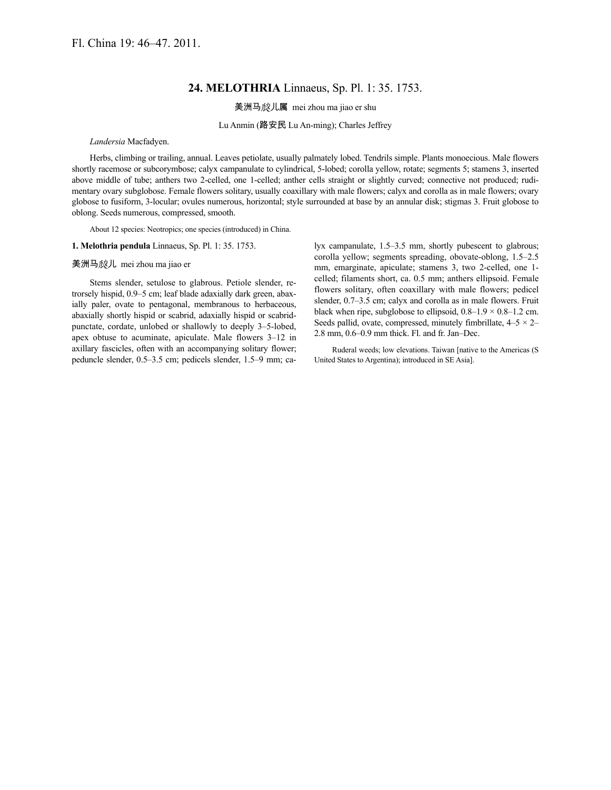## **24. MELOTHRIA** Linnaeus, Sp. Pl. 1: 35. 1753.

美洲马 <br>
成儿属

mei zhou ma jiao er shu

Lu Anmin (路安民 Lu An-ming); Charles Jeffrey

*Landersia* Macfadyen.

Herbs, climbing or trailing, annual. Leaves petiolate, usually palmately lobed. Tendrils simple. Plants monoecious. Male flowers shortly racemose or subcorymbose; calyx campanulate to cylindrical, 5-lobed; corolla yellow, rotate; segments 5; stamens 3, inserted above middle of tube; anthers two 2-celled, one 1-celled; anther cells straight or slightly curved; connective not produced; rudimentary ovary subglobose. Female flowers solitary, usually coaxillary with male flowers; calyx and corolla as in male flowers; ovary globose to fusiform, 3-locular; ovules numerous, horizontal; style surrounded at base by an annular disk; stigmas 3. Fruit globose to oblong. Seeds numerous, compressed, smooth.

About 12 species: Neotropics; one species (introduced) in China.

**1. Melothria pendula** Linnaeus, Sp. Pl. 1: 35. 1753.

## 美洲马 儿 mei zhou ma jiao er

Stems slender, setulose to glabrous. Petiole slender, retrorsely hispid, 0.9–5 cm; leaf blade adaxially dark green, abaxially paler, ovate to pentagonal, membranous to herbaceous, abaxially shortly hispid or scabrid, adaxially hispid or scabridpunctate, cordate, unlobed or shallowly to deeply 3–5-lobed, apex obtuse to acuminate, apiculate. Male flowers 3–12 in axillary fascicles, often with an accompanying solitary flower; peduncle slender, 0.5–3.5 cm; pedicels slender, 1.5–9 mm; calyx campanulate, 1.5–3.5 mm, shortly pubescent to glabrous; corolla yellow; segments spreading, obovate-oblong, 1.5–2.5 mm, emarginate, apiculate; stamens 3, two 2-celled, one 1 celled; filaments short, ca. 0.5 mm; anthers ellipsoid. Female flowers solitary, often coaxillary with male flowers; pedicel slender, 0.7–3.5 cm; calyx and corolla as in male flowers. Fruit black when ripe, subglobose to ellipsoid,  $0.8-1.9 \times 0.8-1.2$  cm. Seeds pallid, ovate, compressed, minutely fimbrillate,  $4-5 \times 2-$ 2.8 mm, 0.6–0.9 mm thick. Fl. and fr. Jan–Dec.

Ruderal weeds; low elevations. Taiwan [native to the Americas (S United States to Argentina); introduced in SE Asia].